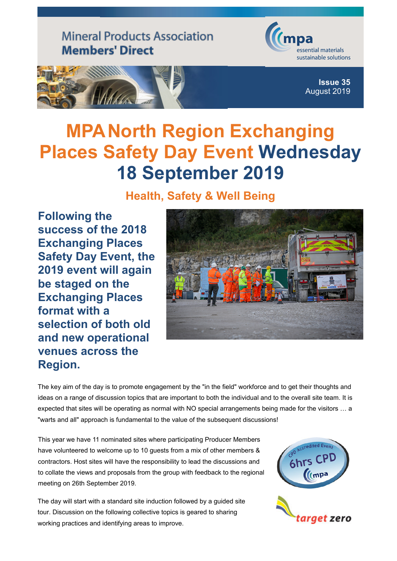**Mineral Products Association Members' Direct** 





**Issue 35** [August 2019](http://www.mineralproducts.org/)

## **MPA North Region Exchanging Places Safety Day Event Wednesday 18 September 2019**

## **Health, Safety & Well Being**

**Following the success of the 2018 Exchanging Places Safety Day Event, the 2019 event will again be staged on the Exchanging Places format with a selection of both old and new operational venues across the Region.**



The key aim of the day is to promote engagement by the "in the field" workforce and to get their thoughts and ideas on a range of discussion topics that are important to both the individual and to the overall site team. It is expected that sites will be operating as normal with NO special arrangements being made for the visitors … a "warts and all" approach is fundamental to the value of the subsequent discussions!

This year we have 11 nominated sites where participating Producer Members have volunteered to welcome up to 10 quests from a mix of other members & contractors. Host sites will have the responsibility to lead the discussions and to collate the views and proposals from the group with feedback to the regional meeting on 26th September 2019.

The day will start with a standard site induction followed by a guided site tour. Discussion on the following collective topics is geared to sharing working practices and identifying areas to improve.

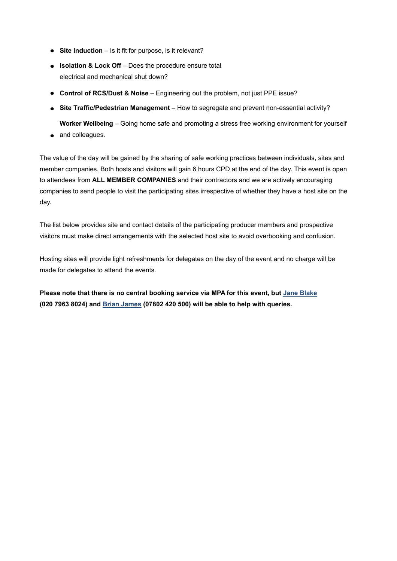- **Site Induction** Is it fit for purpose, is it relevant?
- **Isolation & Lock Off** Does the procedure ensure total electrical and mechanical shut down?
- **Control of RCS/Dust & Noise** Engineering out the problem, not just PPE issue?
- **Site Traffic/Pedestrian Management**  How to segregate and prevent non-essential activity? **Worker Wellbeing** – Going home safe and promoting a stress free working environment for yourself
- and colleagues.

The value of the day will be gained by the sharing of safe working practices between individuals, sites and member companies. Both hosts and visitors will gain 6 hours CPD at the end of the day. This event is open to attendees from **ALL MEMBER COMPANIES** and their contractors and we are actively encouraging companies to send people to visit the participating sites irrespective of whether they have a host site on the day.

The list below provides site and contact details of the participating producer members and prospective visitors must make direct arrangements with the selected host site to avoid overbooking and confusion.

Hosting sites will provide light refreshments for delegates on the day of the event and no charge will be made for delegates to attend the events.

**Please note that there is no central booking service via MPA for this event, but [Jane Blake](mailto:jane.blake@mineralproducts.org) (020 7963 8024) and [Brian James](mailto:brian.james@mineralproducts.org) (07802 420 500) will be able to help with queries.**